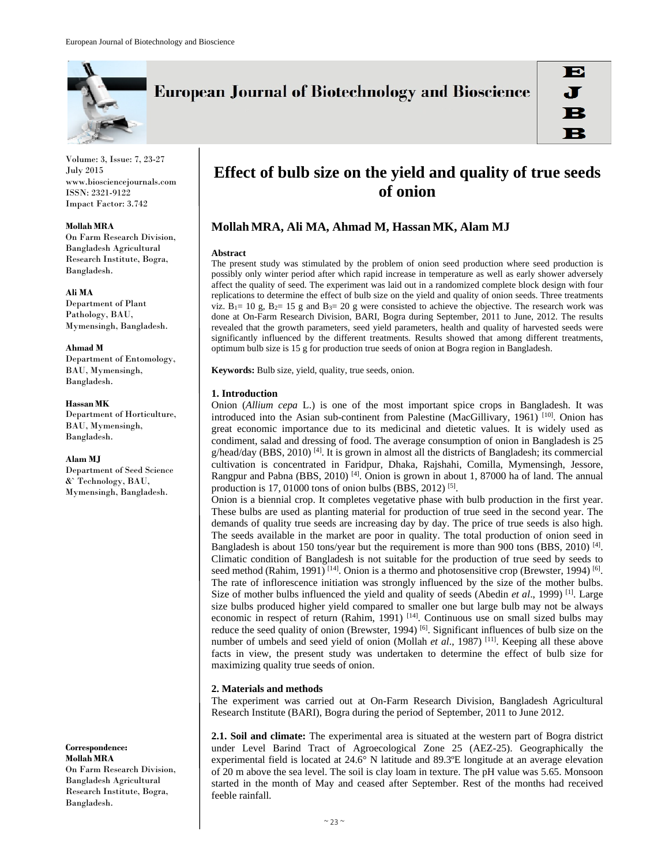

Volume: 3, Issue: 7, 23-27 July 2015 www.biosciencejournals.com ISSN: 2321-9122 Impact Factor: 3.742

**Mollah MRA**  On Farm Research Division, Bangladesh Agricultural Research Institute, Bogra, Bangladesh.

**Ali MA**  Department of Plant Pathology, BAU, Mymensingh, Bangladesh.

**Ahmad M**  Department of Entomology, BAU, Mymensingh, Bangladesh.

**Hassan MK**  Department of Horticulture, BAU, Mymensingh, Bangladesh.

#### **Alam MJ**

Department of Seed Science &` Technology, BAU, Mymensingh, Bangladesh.

**Correspondence: Mollah MRA**  On Farm Research Division, Bangladesh Agricultural Research Institute, Bogra, Bangladesh.

# **European Journal of Biotechnology and Bioscience**

## **Effect of bulb size on the yield and quality of true seeds of onion**

### **Mollah MRA, Ali MA, Ahmad M, Hassan MK, Alam MJ**

#### **Abstract**

The present study was stimulated by the problem of onion seed production where seed production is possibly only winter period after which rapid increase in temperature as well as early shower adversely affect the quality of seed. The experiment was laid out in a randomized complete block design with four replications to determine the effect of bulb size on the yield and quality of onion seeds. Three treatments viz.  $B_1 = 10$  g,  $B_2 = 15$  g and  $B_3 = 20$  g were consisted to achieve the objective. The research work was done at On-Farm Research Division, BARI, Bogra during September, 2011 to June, 2012. The results revealed that the growth parameters, seed yield parameters, health and quality of harvested seeds were significantly influenced by the different treatments. Results showed that among different treatments, optimum bulb size is 15 g for production true seeds of onion at Bogra region in Bangladesh.

**Keywords:** Bulb size, yield, quality, true seeds, onion.

#### **1. Introduction**

Onion (*Allium cepa* L.) is one of the most important spice crops in Bangladesh. It was introduced into the Asian sub-continent from Palestine (MacGillivary, 1961)<sup>[10]</sup>. Onion has great economic importance due to its medicinal and dietetic values. It is widely used as condiment, salad and dressing of food. The average consumption of onion in Bangladesh is 25 g/head/day (BBS, 2010)  $^{[4]}$ . It is grown in almost all the districts of Bangladesh; its commercial cultivation is concentrated in Faridpur, Dhaka, Rajshahi, Comilla, Mymensingh, Jessore, Rangpur and Pabna (BBS, 2010) <sup>[4]</sup>. Onion is grown in about 1, 87000 ha of land. The annual production is 17, 01000 tons of onion bulbs (BBS, 2012)  $[5]$ .

Onion is a biennial crop. It completes vegetative phase with bulb production in the first year. These bulbs are used as planting material for production of true seed in the second year. The demands of quality true seeds are increasing day by day. The price of true seeds is also high. The seeds available in the market are poor in quality. The total production of onion seed in Bangladesh is about 150 tons/year but the requirement is more than 900 tons (BBS, 2010) [4]. Climatic condition of Bangladesh is not suitable for the production of true seed by seeds to seed method (Rahim, 1991)  $[14]$ . Onion is a thermo and photosensitive crop (Brewster, 1994)  $[6]$ . The rate of inflorescence initiation was strongly influenced by the size of the mother bulbs. Size of mother bulbs influenced the yield and quality of seeds (Abedin *et al.*, 1999)<sup>[1]</sup>. Large size bulbs produced higher yield compared to smaller one but large bulb may not be always economic in respect of return (Rahim, 1991)<sup>[14]</sup>. Continuous use on small sized bulbs may reduce the seed quality of onion (Brewster, 1994) <sup>[6]</sup>. Significant influences of bulb size on the number of umbels and seed yield of onion (Mollah et al., 1987)<sup>[11]</sup>. Keeping all these above facts in view, the present study was undertaken to determine the effect of bulb size for maximizing quality true seeds of onion.

#### **2. Materials and methods**

The experiment was carried out at On-Farm Research Division, Bangladesh Agricultural Research Institute (BARI), Bogra during the period of September, 2011 to June 2012.

**2.1. Soil and climate:** The experimental area is situated at the western part of Bogra district under Level Barind Tract of Agroecological Zone 25 (AEZ-25). Geographically the experimental field is located at 24.6° N latitude and 89.3ºE longitude at an average elevation of 20 m above the sea level. The soil is clay loam in texture. The pH value was 5.65. Monsoon started in the month of May and ceased after September. Rest of the months had received feeble rainfall.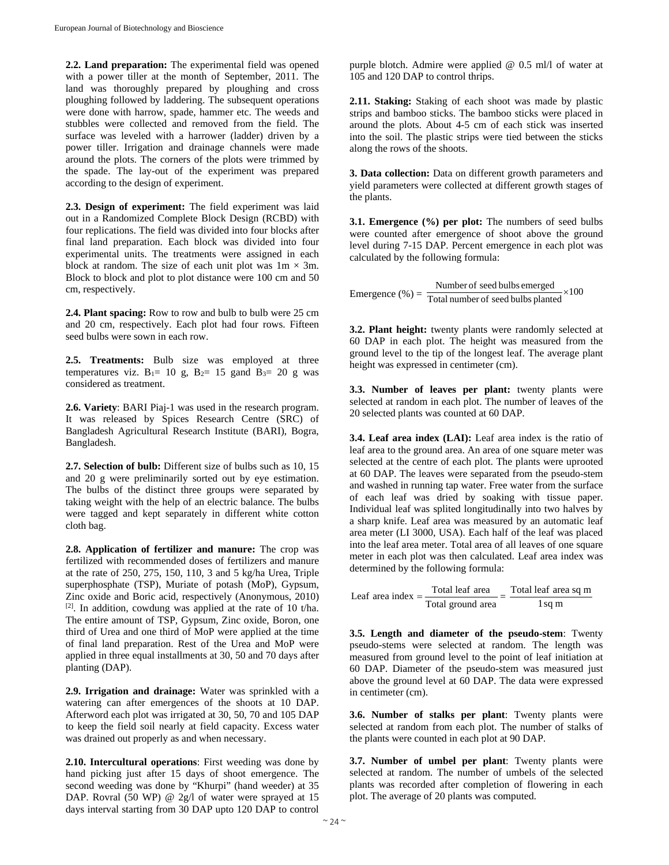**2.2. Land preparation:** The experimental field was opened with a power tiller at the month of September, 2011. The land was thoroughly prepared by ploughing and cross ploughing followed by laddering. The subsequent operations were done with harrow, spade, hammer etc. The weeds and stubbles were collected and removed from the field. The surface was leveled with a harrower (ladder) driven by a power tiller. Irrigation and drainage channels were made around the plots. The corners of the plots were trimmed by the spade. The lay-out of the experiment was prepared according to the design of experiment.

**2.3. Design of experiment:** The field experiment was laid out in a Randomized Complete Block Design (RCBD) with four replications. The field was divided into four blocks after final land preparation. Each block was divided into four experimental units. The treatments were assigned in each block at random. The size of each unit plot was  $1m \times 3m$ . Block to block and plot to plot distance were 100 cm and 50 cm, respectively.

**2.4. Plant spacing:** Row to row and bulb to bulb were 25 cm and 20 cm, respectively. Each plot had four rows. Fifteen seed bulbs were sown in each row.

**2.5. Treatments:** Bulb size was employed at three temperatures viz.  $B_1 = 10$  g,  $B_2 = 15$  gand  $B_3 = 20$  g was considered as treatment.

**2.6. Variety**: BARI Piaj-1 was used in the research program. It was released by Spices Research Centre (SRC) of Bangladesh Agricultural Research Institute (BARI), Bogra, Bangladesh.

**2.7. Selection of bulb:** Different size of bulbs such as 10, 15 and 20 g were preliminarily sorted out by eye estimation. The bulbs of the distinct three groups were separated by taking weight with the help of an electric balance. The bulbs were tagged and kept separately in different white cotton cloth bag.

**2.8. Application of fertilizer and manure:** The crop was fertilized with recommended doses of fertilizers and manure at the rate of 250, 275, 150, 110, 3 and 5 kg/ha Urea, Triple superphosphate (TSP), Muriate of potash (MoP), Gypsum, Zinc oxide and Boric acid, respectively (Anonymous, 2010)  $[2]$ . In addition, cowdung was applied at the rate of 10 t/ha. The entire amount of TSP, Gypsum, Zinc oxide, Boron, one third of Urea and one third of MoP were applied at the time of final land preparation. Rest of the Urea and MoP were applied in three equal installments at 30, 50 and 70 days after planting (DAP).

**2.9. Irrigation and drainage:** Water was sprinkled with a watering can after emergences of the shoots at 10 DAP. Afterword each plot was irrigated at 30, 50, 70 and 105 DAP to keep the field soil nearly at field capacity. Excess water was drained out properly as and when necessary.

**2.10. Intercultural operations**: First weeding was done by hand picking just after 15 days of shoot emergence. The second weeding was done by "Khurpi" (hand weeder) at 35 DAP. Rovral (50 WP) @ 2g/l of water were sprayed at 15 days interval starting from 30 DAP upto 120 DAP to control

purple blotch. Admire were applied @ 0.5 ml/l of water at 105 and 120 DAP to control thrips.

**2.11. Staking:** Staking of each shoot was made by plastic strips and bamboo sticks. The bamboo sticks were placed in around the plots. About 4-5 cm of each stick was inserted into the soil. The plastic strips were tied between the sticks along the rows of the shoots.

**3. Data collection:** Data on different growth parameters and yield parameters were collected at different growth stages of the plants.

**3.1. Emergence (%) per plot:** The numbers of seed bulbs were counted after emergence of shoot above the ground level during 7-15 DAP. Percent emergence in each plot was calculated by the following formula:

Emergence (%) =  $\frac{\text{Number of seed bulbs emerged}}{\text{Total number of seed bulbs planted}} \times 100$ 

**3.2. Plant height:** twenty plants were randomly selected at 60 DAP in each plot. The height was measured from the ground level to the tip of the longest leaf. The average plant height was expressed in centimeter (cm).

**3.3. Number of leaves per plant:** twenty plants were selected at random in each plot. The number of leaves of the 20 selected plants was counted at 60 DAP.

**3.4. Leaf area index (LAI):** Leaf area index is the ratio of leaf area to the ground area. An area of one square meter was selected at the centre of each plot. The plants were uprooted at 60 DAP. The leaves were separated from the pseudo-stem and washed in running tap water. Free water from the surface of each leaf was dried by soaking with tissue paper. Individual leaf was splited longitudinally into two halves by a sharp knife. Leaf area was measured by an automatic leaf area meter (LI 3000, USA). Each half of the leaf was placed into the leaf area meter. Total area of all leaves of one square meter in each plot was then calculated. Leaf area index was determined by the following formula:

| Leaf area index $=$ | Total leaf area   | Total leaf area sq m |  |
|---------------------|-------------------|----------------------|--|
|                     | Total ground area | l sq m               |  |

**3.5. Length and diameter of the pseudo-stem**: Twenty pseudo-stems were selected at random. The length was measured from ground level to the point of leaf initiation at 60 DAP. Diameter of the pseudo-stem was measured just above the ground level at 60 DAP. The data were expressed in centimeter (cm).

**3.6. Number of stalks per plant**: Twenty plants were selected at random from each plot. The number of stalks of the plants were counted in each plot at 90 DAP.

**3.7. Number of umbel per plant**: Twenty plants were selected at random. The number of umbels of the selected plants was recorded after completion of flowering in each plot. The average of 20 plants was computed.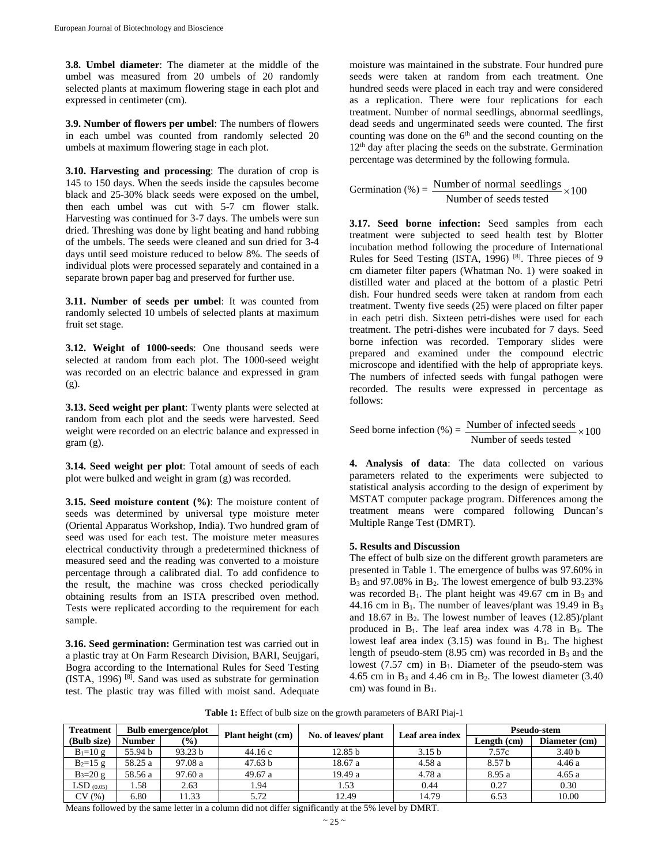**3.8. Umbel diameter**: The diameter at the middle of the umbel was measured from 20 umbels of 20 randomly selected plants at maximum flowering stage in each plot and expressed in centimeter (cm).

**3.9. Number of flowers per umbel**: The numbers of flowers in each umbel was counted from randomly selected 20 umbels at maximum flowering stage in each plot.

**3.10. Harvesting and processing**: The duration of crop is 145 to 150 days. When the seeds inside the capsules become black and 25-30% black seeds were exposed on the umbel, then each umbel was cut with 5-7 cm flower stalk. Harvesting was continued for 3-7 days. The umbels were sun dried. Threshing was done by light beating and hand rubbing of the umbels. The seeds were cleaned and sun dried for 3-4 days until seed moisture reduced to below 8%. The seeds of individual plots were processed separately and contained in a separate brown paper bag and preserved for further use.

**3.11. Number of seeds per umbel**: It was counted from randomly selected 10 umbels of selected plants at maximum fruit set stage.

**3.12. Weight of 1000-seeds**: One thousand seeds were selected at random from each plot. The 1000-seed weight was recorded on an electric balance and expressed in gram (g).

**3.13. Seed weight per plant**: Twenty plants were selected at random from each plot and the seeds were harvested. Seed weight were recorded on an electric balance and expressed in gram (g).

**3.14. Seed weight per plot**: Total amount of seeds of each plot were bulked and weight in gram (g) was recorded.

**3.15. Seed moisture content (%)**: The moisture content of seeds was determined by universal type moisture meter (Oriental Apparatus Workshop, India). Two hundred gram of seed was used for each test. The moisture meter measures electrical conductivity through a predetermined thickness of measured seed and the reading was converted to a moisture percentage through a calibrated dial. To add confidence to the result, the machine was cross checked periodically obtaining results from an ISTA prescribed oven method. Tests were replicated according to the requirement for each sample.

**3.16. Seed germination:** Germination test was carried out in a plastic tray at On Farm Research Division, BARI, Seujgari, Bogra according to the International Rules for Seed Testing  $(ISTA, 1996)$   $[8]$ . Sand was used as substrate for germination test. The plastic tray was filled with moist sand. Adequate

moisture was maintained in the substrate. Four hundred pure seeds were taken at random from each treatment. One hundred seeds were placed in each tray and were considered as a replication. There were four replications for each treatment. Number of normal seedlings, abnormal seedlings, dead seeds and ungerminated seeds were counted. The first counting was done on the  $6<sup>th</sup>$  and the second counting on the  $12<sup>th</sup>$  day after placing the seeds on the substrate. Germination percentage was determined by the following formula.

Germination (%) =  $\frac{100 \text{ m} \cdot \text{m}}{\text{Number of seeds tested}} \times 100$ Number of normal seedlings  $\times$ 

**3.17. Seed borne infection:** Seed samples from each treatment were subjected to seed health test by Blotter incubation method following the procedure of International Rules for Seed Testing (ISTA, 1996)<sup>[8]</sup>. Three pieces of 9 cm diameter filter papers (Whatman No. 1) were soaked in distilled water and placed at the bottom of a plastic Petri dish. Four hundred seeds were taken at random from each treatment. Twenty five seeds (25) were placed on filter paper in each petri dish. Sixteen petri-dishes were used for each treatment. The petri-dishes were incubated for 7 days. Seed borne infection was recorded. Temporary slides were prepared and examined under the compound electric microscope and identified with the help of appropriate keys. The numbers of infected seeds with fungal pathogen were recorded. The results were expressed in percentage as follows:

Seed borne infection  $\left(\% \right) = \frac{\text{Number of infected seeds}}{\text{Number of seeds tested}} \times 100$ 

**4. Analysis of data**: The data collected on various parameters related to the experiments were subjected to statistical analysis according to the design of experiment by MSTAT computer package program. Differences among the treatment means were compared following Duncan's Multiple Range Test (DMRT).

### **5. Results and Discussion**

The effect of bulb size on the different growth parameters are presented in Table 1. The emergence of bulbs was 97.60% in  $B_3$  and 97.08% in  $B_2$ . The lowest emergence of bulb 93.23% was recorded  $B_1$ . The plant height was 49.67 cm in  $B_3$  and 44.16 cm in  $B_1$ . The number of leaves/plant was 19.49 in  $B_3$ and 18.67 in  $B_2$ . The lowest number of leaves  $(12.85)/\text{plant}$ produced in  $B_1$ . The leaf area index was 4.78 in  $B_3$ . The lowest leaf area index  $(3.15)$  was found in  $B_1$ . The highest length of pseudo-stem  $(8.95 \text{ cm})$  was recorded in  $B_3$  and the lowest  $(7.57 \text{ cm})$  in  $B_1$ . Diameter of the pseudo-stem was 4.65 cm in  $B_3$  and 4.46 cm in  $B_2$ . The lowest diameter (3.40) cm) was found in  $B_1$ .

**Table 1:** Effect of bulb size on the growth parameters of BARI Piaj-1

| <b>Treatment</b> |               | <b>Bulb emergence/plot</b> | Plant height (cm) |                      |                   | Pseudo-stem |                   |
|------------------|---------------|----------------------------|-------------------|----------------------|-------------------|-------------|-------------------|
| (Bulb size)      | <b>Number</b> | $\frac{9}{6}$              |                   | No. of leaves/ plant | Leaf area index   | Length (cm) | Diameter (cm)     |
| $B_1 = 10 g$     | 55.94 b       | 93.23 b                    | 44.16 c           | 12.85 b              | 3.15 <sub>b</sub> | 7.57c       | 3.40 <sub>b</sub> |
| $B_2=15 g$       | 58.25 a       | 97.08 a                    | 47.63 b           | 18.67 a              | 4.58 a            | 8.57 b      | 4.46 a            |
| $B_3 = 20 g$     | 58.56 a       | 97.60 a                    | 49.67 a           | 19.49a               | 4.78 a            | 8.95 a      | 4.65a             |
| $LSD$ (0.05)     | . 58          | 2.63                       | 1.94              | 1.53                 | 0.44              | 0.27        | 0.30              |
| CV(%)            | 6.80          | 11.33                      | 5.72              | 12.49                | 14.79             | 6.53        | 10.00             |

Means followed by the same letter in a column did not differ significantly at the 5% level by DMRT.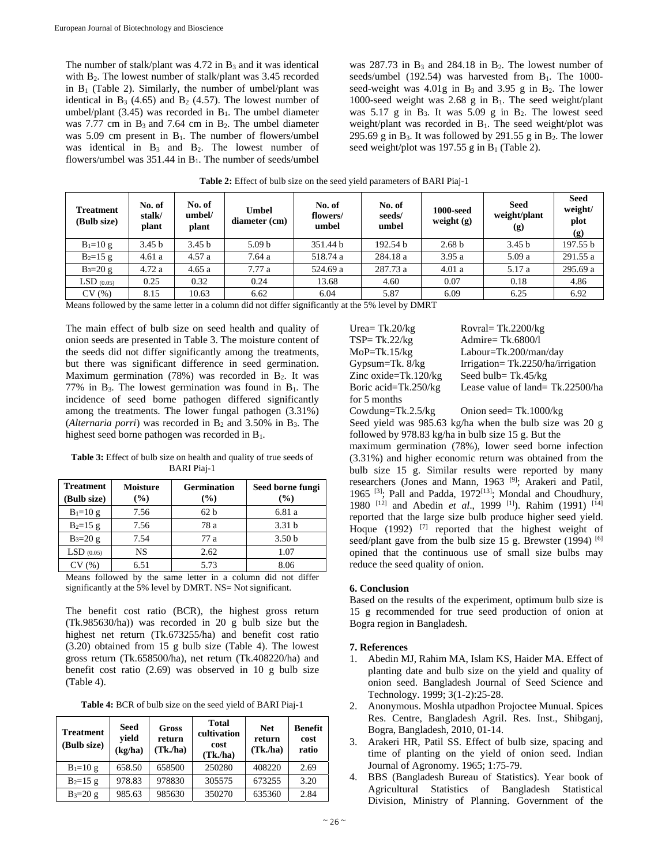The number of stalk/plant was  $4.72$  in  $B_3$  and it was identical with B<sub>2</sub>. The lowest number of stalk/plant was 3.45 recorded in  $B_1$  (Table 2). Similarly, the number of umbel/plant was identical in  $B_3$  (4.65) and  $B_2$  (4.57). The lowest number of umbel/plant  $(3.45)$  was recorded in B<sub>1</sub>. The umbel diameter was 7.77 cm in  $B_3$  and 7.64 cm in  $B_2$ . The umbel diameter was  $5.09$  cm present in  $B_1$ . The number of flowers/umbel was identical in  $B_3$  and  $B_2$ . The lowest number of flowers/umbel was  $351.44$  in  $B_1$ . The number of seeds/umbel

was  $287.73$  in  $B_3$  and  $284.18$  in  $B_2$ . The lowest number of seeds/umbel  $(192.54)$  was harvested from  $B_1$ . The 1000seed-weight was  $4.01g$  in  $B_3$  and  $3.95g$  in  $B_2$ . The lower 1000-seed weight was 2.68 g in  $B_1$ . The seed weight/plant was  $5.17$  g in B<sub>3</sub>. It was  $5.09$  g in B<sub>2</sub>. The lowest seed weight/plant was recorded in  $B_1$ . The seed weight/plot was 295.69 g in  $B_3$ . It was followed by 291.55 g in  $B_2$ . The lower seed weight/plot was 197.55 g in  $B_1$  (Table 2).

| <b>Treatment</b><br>(Bulb size) | No. of<br>stalk/<br>plant | No. of<br>umbel/<br>plant | <b>Umbel</b><br>diameter (cm) | No. of<br>flowers/<br>umbel | No. of<br>seeds/<br>umbel | <b>1000-seed</b><br>weight $(g)$ | <b>Seed</b><br>weight/plant<br>(g) | <b>Seed</b><br>weight/<br>plot<br>(g) |
|---------------------------------|---------------------------|---------------------------|-------------------------------|-----------------------------|---------------------------|----------------------------------|------------------------------------|---------------------------------------|
| $B_1 = 10 g$                    | 3.45 <sub>b</sub>         | 3.45 <sub>b</sub>         | 5.09 <sub>b</sub>             | 351.44 b                    | 192.54 b                  | 2.68 <sub>b</sub>                | 3.45 <sub>b</sub>                  | 197.55 b                              |
| $B_2=15 g$                      | 4.61a                     | 4.57a                     | 7.64 a                        | 518.74 a                    | 284.18 a                  | 3.95a                            | 5.09a                              | 291.55 a                              |
| $B_3 = 20 g$                    | 4.72a                     | 4.65a                     | 7.77a                         | 524.69 a                    | 287.73 a                  | 4.01a                            | 5.17 a                             | 295.69 a                              |
| $LSD$ (0.05)                    | 0.25                      | 0.32                      | 0.24                          | 13.68                       | 4.60                      | 0.07                             | 0.18                               | 4.86                                  |
| CV(%)                           | 8.15                      | 10.63                     | 6.62                          | 6.04                        | 5.87                      | 6.09                             | 6.25                               | 6.92                                  |

**Table 2:** Effect of bulb size on the seed yield parameters of BARI Piaj-1

Means followed by the same letter in a column did not differ significantly at the 5% level by DMRT

The main effect of bulb size on seed health and quality of onion seeds are presented in Table 3. The moisture content of the seeds did not differ significantly among the treatments, but there was significant difference in seed germination. Maximum germination  $(78%)$  was recorded in  $B<sub>2</sub>$ . It was 77% in  $B_3$ . The lowest germination was found in  $B_1$ . The incidence of seed borne pathogen differed significantly among the treatments. The lower fungal pathogen (3.31%) (*Alternaria porri*) was recorded in  $B_2$  and 3.50% in  $B_3$ . The highest seed borne pathogen was recorded in B1.

Table 3: Effect of bulb size on health and quality of true seeds of BARI Piaj-1

| <b>Treatment</b> | <b>Moisture</b> | <b>Germination</b> | Seed borne fungi  |  |
|------------------|-----------------|--------------------|-------------------|--|
| (Bulb size)      | $(\%)$          | $(\%)$             | $($ %)            |  |
| $B_1 = 10 g$     | 7.56            | 62 <sub>b</sub>    | 6.81 a            |  |
| $B_2 = 15 g$     | 7.56            | 78 a               | 3.31 <sub>b</sub> |  |
| $B_3 = 20 g$     | 7.54            | 77 a               | 3.50 <sub>b</sub> |  |
| $LSD$ (0.05)     | NS              | 2.62               | 1.07              |  |
|                  | 6.51            | 5.73               | 8.06              |  |

Means followed by the same letter in a column did not differ significantly at the 5% level by DMRT. NS= Not significant.

The benefit cost ratio (BCR), the highest gross return (Tk.985630/ha)) was recorded in 20 g bulb size but the highest net return (Tk.673255/ha) and benefit cost ratio (3.20) obtained from 15 g bulb size (Table 4). The lowest gross return (Tk.658500/ha), net return (Tk.408220/ha) and benefit cost ratio (2.69) was observed in 10 g bulb size (Table 4).

**Table 4:** BCR of bulb size on the seed yield of BARI Piaj-1

| <b>Treatment</b><br>(Bulb size) | <b>Seed</b><br>yield<br>(kg/ha) | Gross<br>return<br>(Tk.ha) | <b>Total</b><br>cultivation<br>cost<br>(Tk <sub>n</sub> ) | <b>Net</b><br>return<br>(Tk, h) | Benefit<br>cost<br>ratio |
|---------------------------------|---------------------------------|----------------------------|-----------------------------------------------------------|---------------------------------|--------------------------|
| $B_1 = 10 g$                    | 658.50                          | 658500                     | 250280                                                    | 408220                          | 2.69                     |
| $B_2=15 g$                      | 978.83                          | 978830                     | 305575                                                    | 673255                          | 3.20                     |
| $B_3 = 20 g$                    | 985.63                          | 985630                     | 350270                                                    | 635360                          | 2.84                     |

Urea=  $Tk.20/kg$  Rovral=  $Tk.2200/kg$ TSP= Tk.22/kg Admire= Tk.6800/l MoP=Tk.15/kg Labour=Tk.200/man/day Gypsum=Tk. 8/kg Irrigation= Tk.2250/ha/irrigation Zinc oxide=Tk.120/kg Seed bulb= Tk.45/kg Boric acid=Tk.250/kg Lease value of land= Tk.22500/ha for 5 months Cowdung=Tk.2.5/kg Onion seed= Tk.1000/kg

Seed yield was 985.63 kg/ha when the bulb size was 20 g followed by 978.83 kg/ha in bulb size 15 g. But the maximum germination (78%), lower seed borne infection (3.31%) and higher economic return was obtained from the bulb size 15 g. Similar results were reported by many researchers (Jones and Mann, 1963<sup>[9]</sup>; Arakeri and Patil, 1965<sup>[3]</sup>; Pall and Padda, 1972<sup>[13]</sup>; Mondal and Choudhury, 1980 [12] and Abedin *et al*., 1999 [1]). Rahim (1991) [14] reported that the large size bulb produce higher seed yield. Hoque (1992) [7] reported that the highest weight of seed/plant gave from the bulb size 15 g. Brewster (1994) <sup>[6]</sup> opined that the continuous use of small size bulbs may reduce the seed quality of onion.

#### **6. Conclusion**

Based on the results of the experiment, optimum bulb size is 15 g recommended for true seed production of onion at Bogra region in Bangladesh.

#### **7. References**

- 1. Abedin MJ, Rahim MA, Islam KS, Haider MA. Effect of planting date and bulb size on the yield and quality of onion seed. Bangladesh Journal of Seed Science and Technology. 1999; 3(1-2):25-28.
- 2. Anonymous. Moshla utpadhon Projoctee Munual. Spices Res. Centre, Bangladesh Agril. Res. Inst., Shibganj, Bogra, Bangladesh, 2010, 01-14.
- 3. Arakeri HR, Patil SS. Effect of bulb size, spacing and time of planting on the yield of onion seed. Indian Journal of Agronomy. 1965; 1:75-79.
- 4. BBS (Bangladesh Bureau of Statistics). Year book of Agricultural Statistics of Bangladesh Statistical Division, Ministry of Planning. Government of the